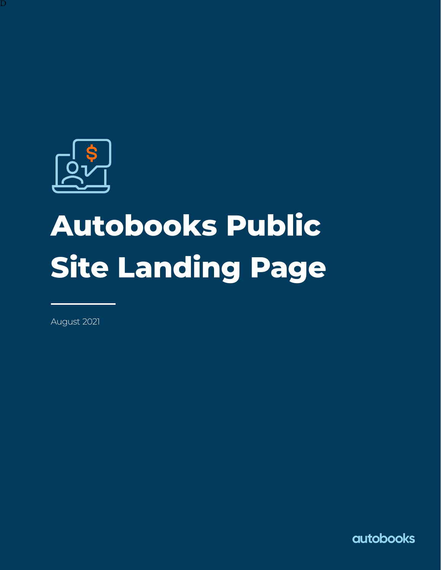

 $\overline{\rm D}$ 

# **Autobooks Public Site Landing Page**

August 2021

**autobooks**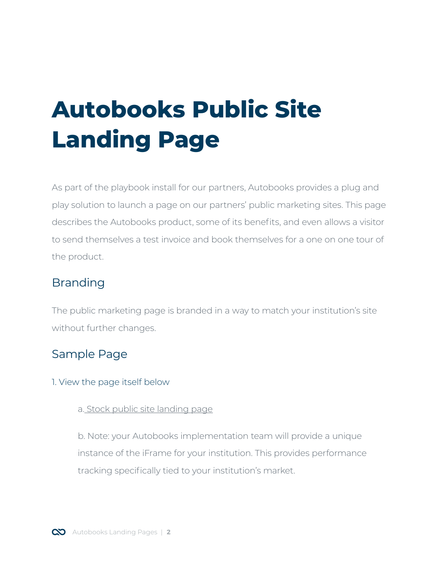# **Autobooks Public Site Landing Page**

As part of the playbook install for our partners, Autobooks provides a plug and play solution to launch a page on our partners' public marketing sites. This page describes the Autobooks product, some of its benefits, and even allows a visitor to send themselves a test invoice and book themselves for a one on one tour of the product.

# Branding

The public marketing page is branded in a way to match your institution's site without further changes.

# Sample Page

#### 1. View the page itself below

#### a. [Stock public site landing page](https://info.autobooks.co/fi_lp_vanilla?natId=%7b%7b)

b. Note: your Autobooks implementation team will provide a unique instance of the iFrame for your institution. This provides performance tracking specifically tied to your institution's market.

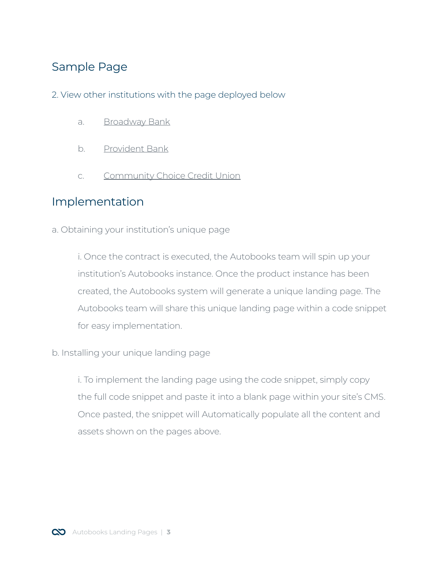## Sample Page

- 2. View other institutions with the page deployed below
	- a. [Broadway Bank](https://broadway.bank/autobooks)
	- b. [Provident Bank](https://www.provident.bank/autobooks)
	- c. [Community Choice Credit Union](https://www.communitychoicecu.com/autobooks/)

### Implementation

a. Obtaining your institution's unique page

i. Once the contract is executed, the Autobooks team will spin up your institution's Autobooks instance. Once the product instance has been created, the Autobooks system will generate a unique landing page. The Autobooks team will share this unique landing page within a code snippet for easy implementation.

b. Installing your unique landing page

i. To implement the landing page using the code snippet, simply copy the full code snippet and paste it into a blank page within your site's CMS. Once pasted, the snippet will Automatically populate all the content and assets shown on the pages above.